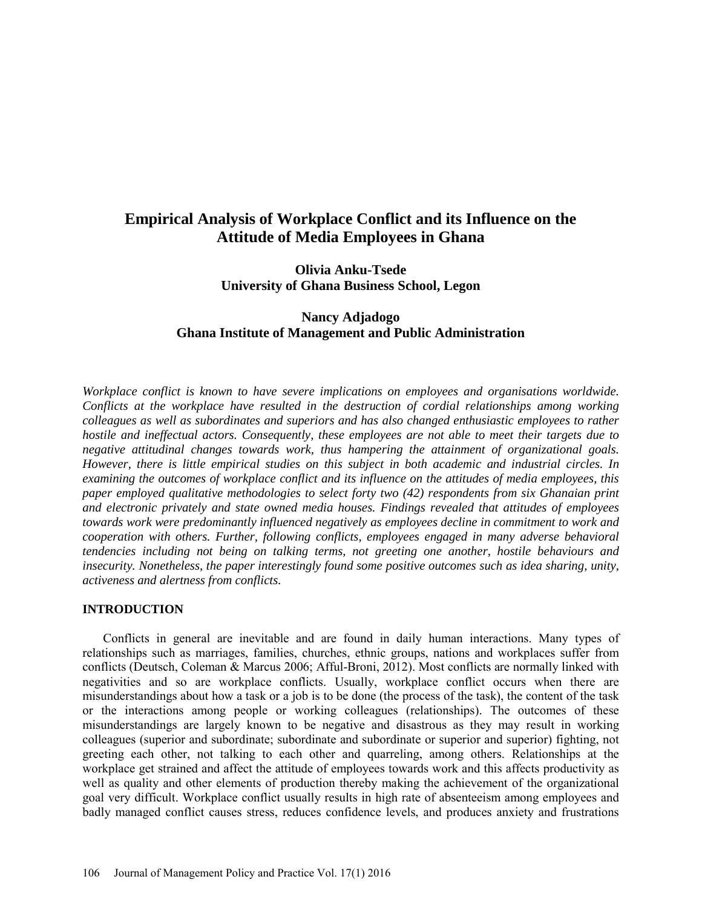# **Empirical Analysis of Workplace Conflict and its Influence on the Attitude of Media Employees in Ghana**

**Olivia Anku-Tsede University of Ghana Business School, Legon** 

# **Nancy Adjadogo Ghana Institute of Management and Public Administration**

*Workplace conflict is known to have severe implications on employees and organisations worldwide. Conflicts at the workplace have resulted in the destruction of cordial relationships among working colleagues as well as subordinates and superiors and has also changed enthusiastic employees to rather hostile and ineffectual actors. Consequently, these employees are not able to meet their targets due to negative attitudinal changes towards work, thus hampering the attainment of organizational goals. However, there is little empirical studies on this subject in both academic and industrial circles. In examining the outcomes of workplace conflict and its influence on the attitudes of media employees, this paper employed qualitative methodologies to select forty two (42) respondents from six Ghanaian print and electronic privately and state owned media houses. Findings revealed that attitudes of employees towards work were predominantly influenced negatively as employees decline in commitment to work and cooperation with others. Further, following conflicts, employees engaged in many adverse behavioral tendencies including not being on talking terms, not greeting one another, hostile behaviours and insecurity. Nonetheless, the paper interestingly found some positive outcomes such as idea sharing, unity, activeness and alertness from conflicts.* 

### **INTRODUCTION**

Conflicts in general are inevitable and are found in daily human interactions. Many types of relationships such as marriages, families, churches, ethnic groups, nations and workplaces suffer from conflicts (Deutsch, Coleman & Marcus 2006; Afful-Broni, 2012). Most conflicts are normally linked with negativities and so are workplace conflicts. Usually, workplace conflict occurs when there are misunderstandings about how a task or a job is to be done (the process of the task), the content of the task or the interactions among people or working colleagues (relationships). The outcomes of these misunderstandings are largely known to be negative and disastrous as they may result in working colleagues (superior and subordinate; subordinate and subordinate or superior and superior) fighting, not greeting each other, not talking to each other and quarreling, among others. Relationships at the workplace get strained and affect the attitude of employees towards work and this affects productivity as well as quality and other elements of production thereby making the achievement of the organizational goal very difficult. Workplace conflict usually results in high rate of absenteeism among employees and badly managed conflict causes stress, reduces confidence levels, and produces anxiety and frustrations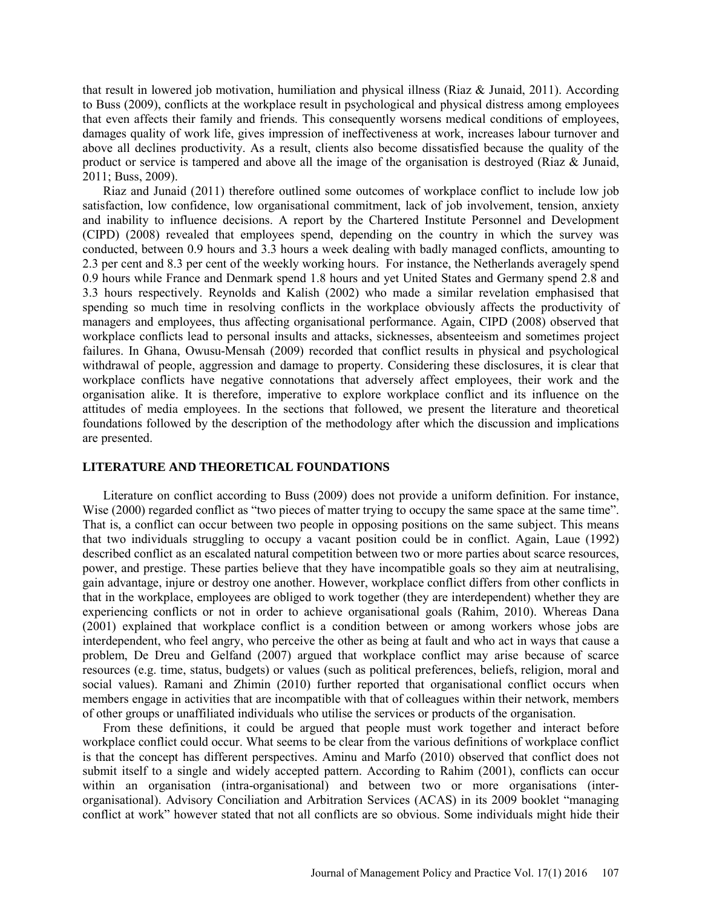that result in lowered job motivation, humiliation and physical illness (Riaz & Junaid, 2011). According to Buss (2009), conflicts at the workplace result in psychological and physical distress among employees that even affects their family and friends. This consequently worsens medical conditions of employees, damages quality of work life, gives impression of ineffectiveness at work, increases labour turnover and above all declines productivity. As a result, clients also become dissatisfied because the quality of the product or service is tampered and above all the image of the organisation is destroyed (Riaz & Junaid, 2011; Buss, 2009).

Riaz and Junaid (2011) therefore outlined some outcomes of workplace conflict to include low job satisfaction, low confidence, low organisational commitment, lack of job involvement, tension, anxiety and inability to influence decisions. A report by the Chartered Institute Personnel and Development (CIPD) (2008) revealed that employees spend, depending on the country in which the survey was conducted, between 0.9 hours and 3.3 hours a week dealing with badly managed conflicts, amounting to 2.3 per cent and 8.3 per cent of the weekly working hours. For instance, the Netherlands averagely spend 0.9 hours while France and Denmark spend 1.8 hours and yet United States and Germany spend 2.8 and 3.3 hours respectively. Reynolds and Kalish (2002) who made a similar revelation emphasised that spending so much time in resolving conflicts in the workplace obviously affects the productivity of managers and employees, thus affecting organisational performance. Again, CIPD (2008) observed that workplace conflicts lead to personal insults and attacks, sicknesses, absenteeism and sometimes project failures. In Ghana, Owusu-Mensah (2009) recorded that conflict results in physical and psychological withdrawal of people, aggression and damage to property. Considering these disclosures, it is clear that workplace conflicts have negative connotations that adversely affect employees, their work and the organisation alike. It is therefore, imperative to explore workplace conflict and its influence on the attitudes of media employees. In the sections that followed, we present the literature and theoretical foundations followed by the description of the methodology after which the discussion and implications are presented.

# **LITERATURE AND THEORETICAL FOUNDATIONS**

Literature on conflict according to Buss (2009) does not provide a uniform definition. For instance, Wise (2000) regarded conflict as "two pieces of matter trying to occupy the same space at the same time". That is, a conflict can occur between two people in opposing positions on the same subject. This means that two individuals struggling to occupy a vacant position could be in conflict. Again, Laue (1992) described conflict as an escalated natural competition between two or more parties about scarce resources, power, and prestige. These parties believe that they have incompatible goals so they aim at neutralising, gain advantage, injure or destroy one another. However, workplace conflict differs from other conflicts in that in the workplace, employees are obliged to work together (they are interdependent) whether they are experiencing conflicts or not in order to achieve organisational goals (Rahim, 2010). Whereas Dana (2001) explained that workplace conflict is a condition between or among workers whose jobs are interdependent, who feel angry, who perceive the other as being at fault and who act in ways that cause a problem, De Dreu and Gelfand (2007) argued that workplace conflict may arise because of scarce resources (e.g. time, status, budgets) or values (such as political preferences, beliefs, religion, moral and social values). Ramani and Zhimin (2010) further reported that organisational conflict occurs when members engage in activities that are incompatible with that of colleagues within their network, members of other groups or unaffiliated individuals who utilise the services or products of the organisation.

From these definitions, it could be argued that people must work together and interact before workplace conflict could occur. What seems to be clear from the various definitions of workplace conflict is that the concept has different perspectives. Aminu and Marfo (2010) observed that conflict does not submit itself to a single and widely accepted pattern. According to Rahim (2001), conflicts can occur within an organisation (intra-organisational) and between two or more organisations (interorganisational). Advisory Conciliation and Arbitration Services (ACAS) in its 2009 booklet "managing conflict at work" however stated that not all conflicts are so obvious. Some individuals might hide their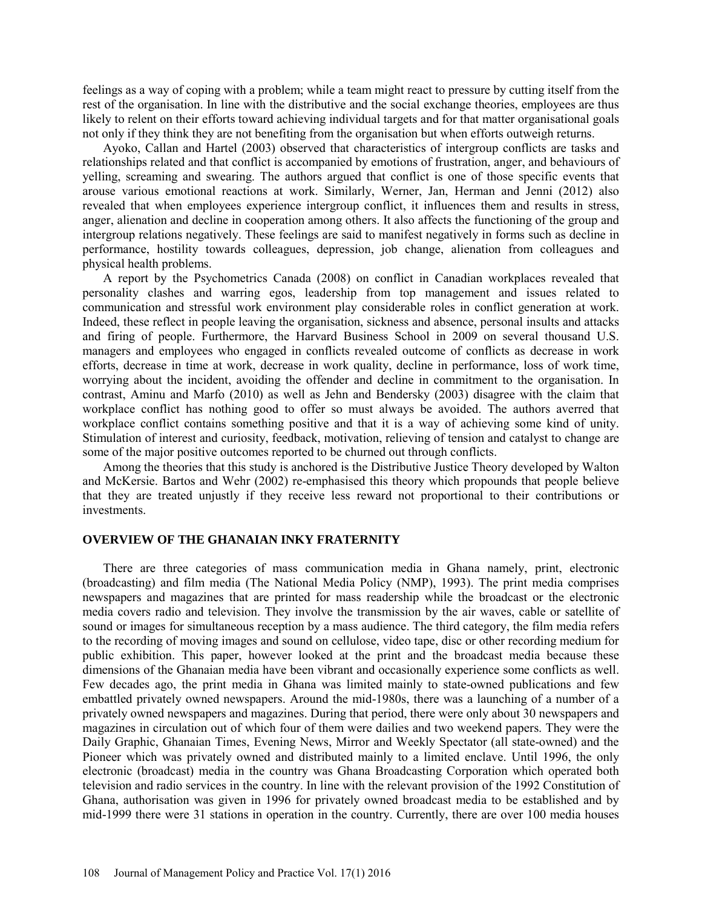feelings as a way of coping with a problem; while a team might react to pressure by cutting itself from the rest of the organisation. In line with the distributive and the social exchange theories, employees are thus likely to relent on their efforts toward achieving individual targets and for that matter organisational goals not only if they think they are not benefiting from the organisation but when efforts outweigh returns.

Ayoko, Callan and Hartel (2003) observed that characteristics of intergroup conflicts are tasks and relationships related and that conflict is accompanied by emotions of frustration, anger, and behaviours of yelling, screaming and swearing. The authors argued that conflict is one of those specific events that arouse various emotional reactions at work. Similarly, Werner, Jan, Herman and Jenni (2012) also revealed that when employees experience intergroup conflict, it influences them and results in stress, anger, alienation and decline in cooperation among others. It also affects the functioning of the group and intergroup relations negatively. These feelings are said to manifest negatively in forms such as decline in performance, hostility towards colleagues, depression, job change, alienation from colleagues and physical health problems.

A report by the Psychometrics Canada (2008) on conflict in Canadian workplaces revealed that personality clashes and warring egos, leadership from top management and issues related to communication and stressful work environment play considerable roles in conflict generation at work. Indeed, these reflect in people leaving the organisation, sickness and absence, personal insults and attacks and firing of people. Furthermore, the Harvard Business School in 2009 on several thousand U.S. managers and employees who engaged in conflicts revealed outcome of conflicts as decrease in work efforts, decrease in time at work, decrease in work quality, decline in performance, loss of work time, worrying about the incident, avoiding the offender and decline in commitment to the organisation. In contrast, Aminu and Marfo (2010) as well as Jehn and Bendersky (2003) disagree with the claim that workplace conflict has nothing good to offer so must always be avoided. The authors averred that workplace conflict contains something positive and that it is a way of achieving some kind of unity. Stimulation of interest and curiosity, feedback, motivation, relieving of tension and catalyst to change are some of the major positive outcomes reported to be churned out through conflicts.

 Among the theories that this study is anchored is the Distributive Justice Theory developed by Walton and McKersie. Bartos and Wehr (2002) re-emphasised this theory which propounds that people believe that they are treated unjustly if they receive less reward not proportional to their contributions or investments.

### **OVERVIEW OF THE GHANAIAN INKY FRATERNITY**

There are three categories of mass communication media in Ghana namely, print, electronic (broadcasting) and film media (The National Media Policy (NMP), 1993). The print media comprises newspapers and magazines that are printed for mass readership while the broadcast or the electronic media covers radio and television. They involve the transmission by the air waves, cable or satellite of sound or images for simultaneous reception by a mass audience. The third category, the film media refers to the recording of moving images and sound on cellulose, video tape, disc or other recording medium for public exhibition. This paper, however looked at the print and the broadcast media because these dimensions of the Ghanaian media have been vibrant and occasionally experience some conflicts as well. Few decades ago, the print media in Ghana was limited mainly to state-owned publications and few embattled privately owned newspapers. Around the mid-1980s, there was a launching of a number of a privately owned newspapers and magazines. During that period, there were only about 30 newspapers and magazines in circulation out of which four of them were dailies and two weekend papers. They were the Daily Graphic, Ghanaian Times, Evening News, Mirror and Weekly Spectator (all state-owned) and the Pioneer which was privately owned and distributed mainly to a limited enclave. Until 1996, the only electronic (broadcast) media in the country was Ghana Broadcasting Corporation which operated both television and radio services in the country. In line with the relevant provision of the 1992 Constitution of Ghana, authorisation was given in 1996 for privately owned broadcast media to be established and by mid-1999 there were 31 stations in operation in the country. Currently, there are over 100 media houses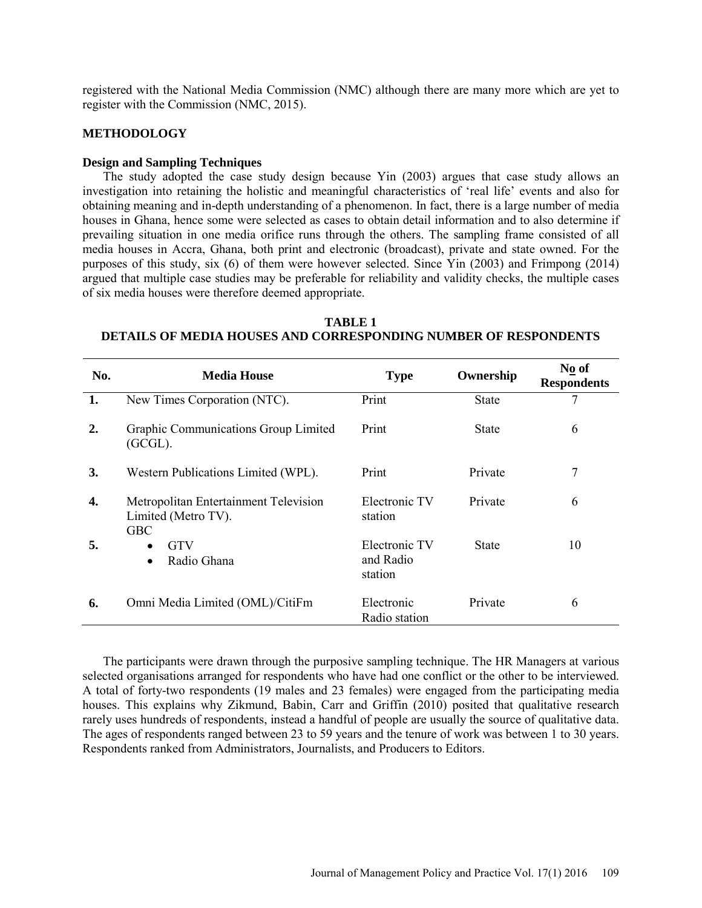registered with the National Media Commission (NMC) although there are many more which are yet to register with the Commission (NMC, 2015).

## **METHODOLOGY**

#### **Design and Sampling Techniques**

The study adopted the case study design because Yin (2003) argues that case study allows an investigation into retaining the holistic and meaningful characteristics of 'real life' events and also for obtaining meaning and in-depth understanding of a phenomenon. In fact, there is a large number of media houses in Ghana, hence some were selected as cases to obtain detail information and to also determine if prevailing situation in one media orifice runs through the others. The sampling frame consisted of all media houses in Accra, Ghana, both print and electronic (broadcast), private and state owned. For the purposes of this study, six (6) of them were however selected. Since Yin (2003) and Frimpong (2014) argued that multiple case studies may be preferable for reliability and validity checks, the multiple cases of six media houses were therefore deemed appropriate.

**TABLE 1 DETAILS OF MEDIA HOUSES AND CORRESPONDING NUMBER OF RESPONDENTS**

| No. | <b>Media House</b>                                                         | <b>Type</b>                           | Ownership    | No of<br><b>Respondents</b> |
|-----|----------------------------------------------------------------------------|---------------------------------------|--------------|-----------------------------|
| 1.  | New Times Corporation (NTC).                                               | Print                                 | <b>State</b> | 7                           |
| 2.  | Graphic Communications Group Limited<br>$(GCGL)$ .                         | Print                                 | <b>State</b> | 6                           |
| 3.  | Western Publications Limited (WPL).                                        | Print                                 | Private      | 7                           |
| 4.  | Metropolitan Entertainment Television<br>Limited (Metro TV).<br><b>GBC</b> | Electronic TV<br>station              | Private      | 6                           |
| 5.  | <b>GTV</b><br>$\bullet$<br>Radio Ghana<br>$\bullet$                        | Electronic TV<br>and Radio<br>station | <b>State</b> | 10                          |
| 6.  | Omni Media Limited (OML)/CitiFm                                            | Electronic<br>Radio station           | Private      | 6                           |

The participants were drawn through the purposive sampling technique. The HR Managers at various selected organisations arranged for respondents who have had one conflict or the other to be interviewed. A total of forty-two respondents (19 males and 23 females) were engaged from the participating media houses. This explains why Zikmund, Babin, Carr and Griffin (2010) posited that qualitative research rarely uses hundreds of respondents, instead a handful of people are usually the source of qualitative data. The ages of respondents ranged between 23 to 59 years and the tenure of work was between 1 to 30 years. Respondents ranked from Administrators, Journalists, and Producers to Editors.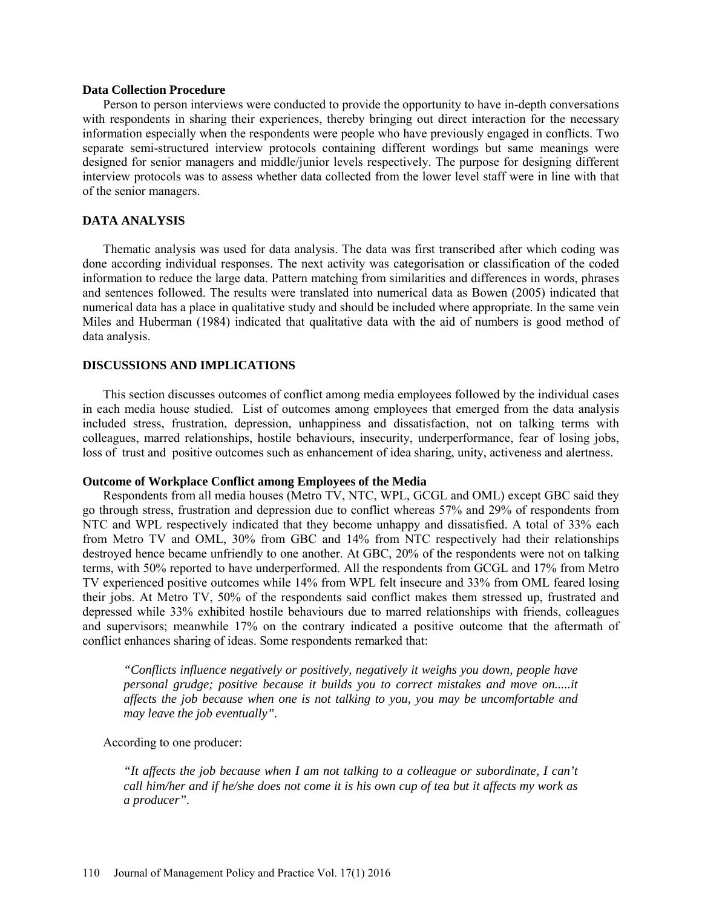#### **Data Collection Procedure**

Person to person interviews were conducted to provide the opportunity to have in-depth conversations with respondents in sharing their experiences, thereby bringing out direct interaction for the necessary information especially when the respondents were people who have previously engaged in conflicts. Two separate semi-structured interview protocols containing different wordings but same meanings were designed for senior managers and middle/junior levels respectively. The purpose for designing different interview protocols was to assess whether data collected from the lower level staff were in line with that of the senior managers.

## **DATA ANALYSIS**

Thematic analysis was used for data analysis. The data was first transcribed after which coding was done according individual responses. The next activity was categorisation or classification of the coded information to reduce the large data. Pattern matching from similarities and differences in words, phrases and sentences followed. The results were translated into numerical data as Bowen (2005) indicated that numerical data has a place in qualitative study and should be included where appropriate. In the same vein Miles and Huberman (1984) indicated that qualitative data with the aid of numbers is good method of data analysis.

## **DISCUSSIONS AND IMPLICATIONS**

This section discusses outcomes of conflict among media employees followed by the individual cases in each media house studied. List of outcomes among employees that emerged from the data analysis included stress, frustration, depression, unhappiness and dissatisfaction, not on talking terms with colleagues, marred relationships, hostile behaviours, insecurity, underperformance, fear of losing jobs, loss of trust and positive outcomes such as enhancement of idea sharing, unity, activeness and alertness.

#### **Outcome of Workplace Conflict among Employees of the Media**

Respondents from all media houses (Metro TV, NTC, WPL, GCGL and OML) except GBC said they go through stress, frustration and depression due to conflict whereas 57% and 29% of respondents from NTC and WPL respectively indicated that they become unhappy and dissatisfied. A total of 33% each from Metro TV and OML, 30% from GBC and 14% from NTC respectively had their relationships destroyed hence became unfriendly to one another. At GBC, 20% of the respondents were not on talking terms, with 50% reported to have underperformed. All the respondents from GCGL and 17% from Metro TV experienced positive outcomes while 14% from WPL felt insecure and 33% from OML feared losing their jobs. At Metro TV, 50% of the respondents said conflict makes them stressed up, frustrated and depressed while 33% exhibited hostile behaviours due to marred relationships with friends, colleagues and supervisors; meanwhile 17% on the contrary indicated a positive outcome that the aftermath of conflict enhances sharing of ideas. Some respondents remarked that:

*"Conflicts influence negatively or positively, negatively it weighs you down, people have personal grudge; positive because it builds you to correct mistakes and move on.....it affects the job because when one is not talking to you, you may be uncomfortable and may leave the job eventually".*

According to one producer:

*"It affects the job because when I am not talking to a colleague or subordinate, I can't call him/her and if he/she does not come it is his own cup of tea but it affects my work as a producer".*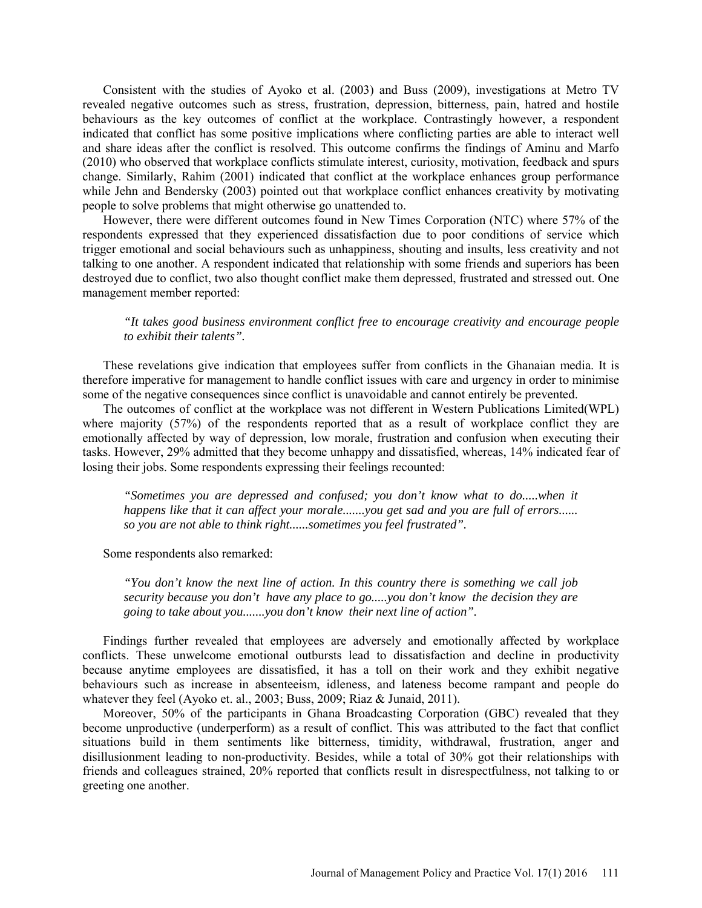Consistent with the studies of Ayoko et al. (2003) and Buss (2009), investigations at Metro TV revealed negative outcomes such as stress, frustration, depression, bitterness, pain, hatred and hostile behaviours as the key outcomes of conflict at the workplace. Contrastingly however, a respondent indicated that conflict has some positive implications where conflicting parties are able to interact well and share ideas after the conflict is resolved. This outcome confirms the findings of Aminu and Marfo (2010) who observed that workplace conflicts stimulate interest, curiosity, motivation, feedback and spurs change. Similarly, Rahim (2001) indicated that conflict at the workplace enhances group performance while Jehn and Bendersky (2003) pointed out that workplace conflict enhances creativity by motivating people to solve problems that might otherwise go unattended to.

However, there were different outcomes found in New Times Corporation (NTC) where 57% of the respondents expressed that they experienced dissatisfaction due to poor conditions of service which trigger emotional and social behaviours such as unhappiness, shouting and insults, less creativity and not talking to one another. A respondent indicated that relationship with some friends and superiors has been destroyed due to conflict, two also thought conflict make them depressed, frustrated and stressed out. One management member reported:

*"It takes good business environment conflict free to encourage creativity and encourage people to exhibit their talents".*

These revelations give indication that employees suffer from conflicts in the Ghanaian media. It is therefore imperative for management to handle conflict issues with care and urgency in order to minimise some of the negative consequences since conflict is unavoidable and cannot entirely be prevented.

The outcomes of conflict at the workplace was not different in Western Publications Limited(WPL) where majority (57%) of the respondents reported that as a result of workplace conflict they are emotionally affected by way of depression, low morale, frustration and confusion when executing their tasks. However, 29% admitted that they become unhappy and dissatisfied, whereas, 14% indicated fear of losing their jobs. Some respondents expressing their feelings recounted:

*"Sometimes you are depressed and confused; you don't know what to do.....when it happens like that it can affect your morale.......you get sad and you are full of errors...... so you are not able to think right......sometimes you feel frustrated".* 

Some respondents also remarked:

*"You don't know the next line of action. In this country there is something we call job security because you don't have any place to go.....you don't know the decision they are going to take about you.......you don't know their next line of action".*

Findings further revealed that employees are adversely and emotionally affected by workplace conflicts. These unwelcome emotional outbursts lead to dissatisfaction and decline in productivity because anytime employees are dissatisfied, it has a toll on their work and they exhibit negative behaviours such as increase in absenteeism, idleness, and lateness become rampant and people do whatever they feel (Ayoko et. al., 2003; Buss, 2009; Riaz & Junaid, 2011).

Moreover, 50% of the participants in Ghana Broadcasting Corporation (GBC) revealed that they become unproductive (underperform) as a result of conflict. This was attributed to the fact that conflict situations build in them sentiments like bitterness, timidity, withdrawal, frustration, anger and disillusionment leading to non-productivity. Besides, while a total of 30% got their relationships with friends and colleagues strained, 20% reported that conflicts result in disrespectfulness, not talking to or greeting one another.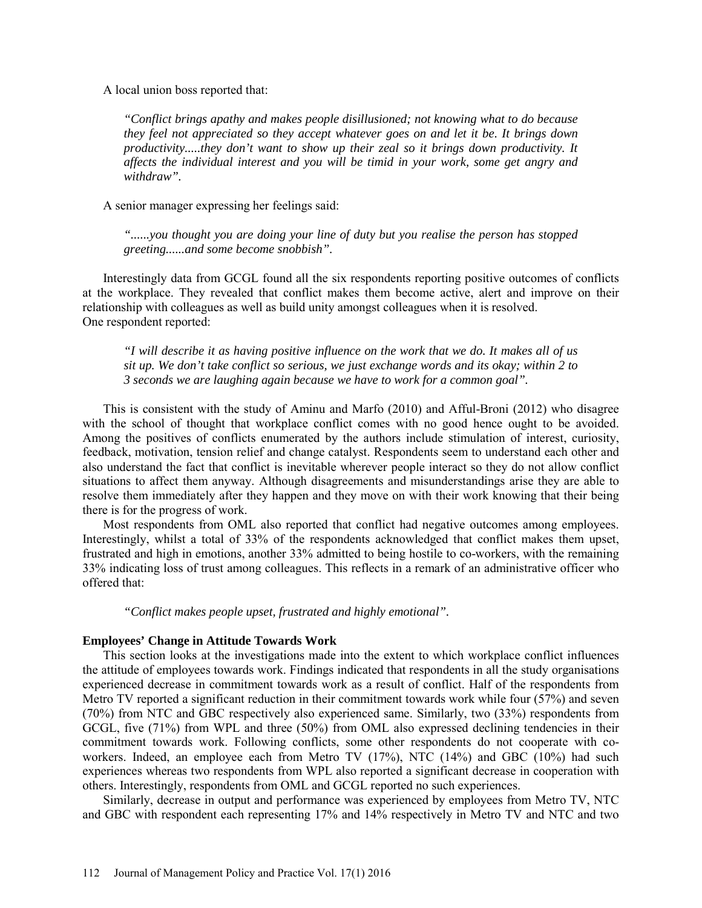A local union boss reported that:

*"Conflict brings apathy and makes people disillusioned; not knowing what to do because they feel not appreciated so they accept whatever goes on and let it be. It brings down productivity.....they don't want to show up their zeal so it brings down productivity. It affects the individual interest and you will be timid in your work, some get angry and withdraw".*

A senior manager expressing her feelings said:

*"......you thought you are doing your line of duty but you realise the person has stopped greeting......and some become snobbish".* 

Interestingly data from GCGL found all the six respondents reporting positive outcomes of conflicts at the workplace. They revealed that conflict makes them become active, alert and improve on their relationship with colleagues as well as build unity amongst colleagues when it is resolved. One respondent reported:

*"I will describe it as having positive influence on the work that we do. It makes all of us sit up. We don't take conflict so serious, we just exchange words and its okay; within 2 to 3 seconds we are laughing again because we have to work for a common goal".* 

This is consistent with the study of Aminu and Marfo (2010) and Afful-Broni (2012) who disagree with the school of thought that workplace conflict comes with no good hence ought to be avoided. Among the positives of conflicts enumerated by the authors include stimulation of interest, curiosity, feedback, motivation, tension relief and change catalyst. Respondents seem to understand each other and also understand the fact that conflict is inevitable wherever people interact so they do not allow conflict situations to affect them anyway. Although disagreements and misunderstandings arise they are able to resolve them immediately after they happen and they move on with their work knowing that their being there is for the progress of work.

Most respondents from OML also reported that conflict had negative outcomes among employees. Interestingly, whilst a total of 33% of the respondents acknowledged that conflict makes them upset, frustrated and high in emotions, another 33% admitted to being hostile to co-workers, with the remaining 33% indicating loss of trust among colleagues. This reflects in a remark of an administrative officer who offered that:

*"Conflict makes people upset, frustrated and highly emotional".*

#### **Employees' Change in Attitude Towards Work**

This section looks at the investigations made into the extent to which workplace conflict influences the attitude of employees towards work. Findings indicated that respondents in all the study organisations experienced decrease in commitment towards work as a result of conflict. Half of the respondents from Metro TV reported a significant reduction in their commitment towards work while four (57%) and seven (70%) from NTC and GBC respectively also experienced same. Similarly, two (33%) respondents from GCGL, five (71%) from WPL and three (50%) from OML also expressed declining tendencies in their commitment towards work. Following conflicts, some other respondents do not cooperate with coworkers. Indeed, an employee each from Metro TV (17%), NTC (14%) and GBC (10%) had such experiences whereas two respondents from WPL also reported a significant decrease in cooperation with others. Interestingly, respondents from OML and GCGL reported no such experiences.

Similarly, decrease in output and performance was experienced by employees from Metro TV, NTC and GBC with respondent each representing 17% and 14% respectively in Metro TV and NTC and two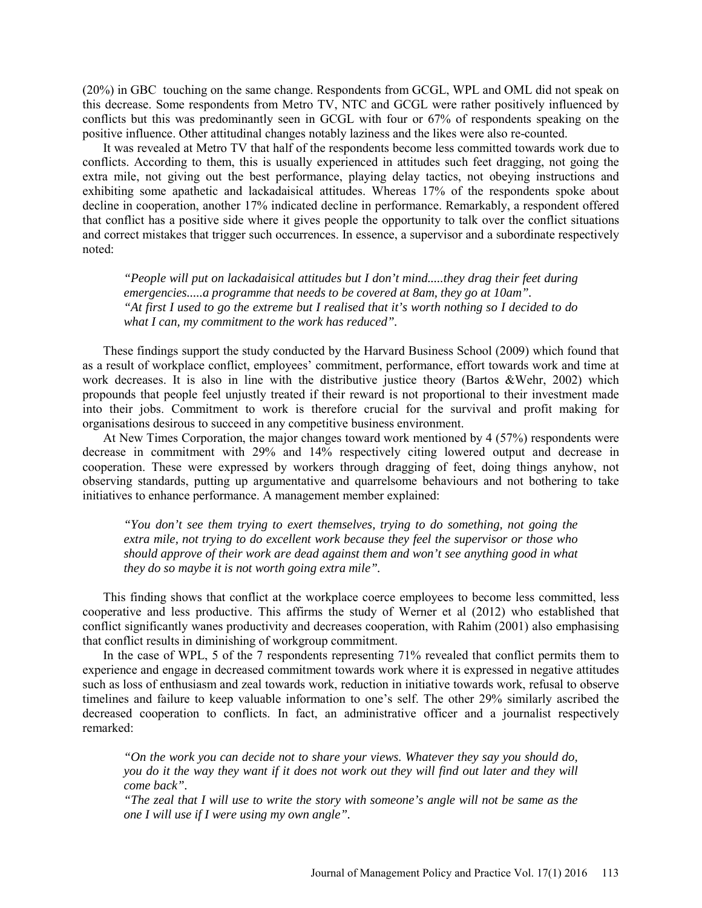(20%) in GBC touching on the same change. Respondents from GCGL, WPL and OML did not speak on this decrease. Some respondents from Metro TV, NTC and GCGL were rather positively influenced by conflicts but this was predominantly seen in GCGL with four or 67% of respondents speaking on the positive influence. Other attitudinal changes notably laziness and the likes were also re-counted.

It was revealed at Metro TV that half of the respondents become less committed towards work due to conflicts. According to them, this is usually experienced in attitudes such feet dragging, not going the extra mile, not giving out the best performance, playing delay tactics, not obeying instructions and exhibiting some apathetic and lackadaisical attitudes. Whereas 17% of the respondents spoke about decline in cooperation, another 17% indicated decline in performance. Remarkably, a respondent offered that conflict has a positive side where it gives people the opportunity to talk over the conflict situations and correct mistakes that trigger such occurrences. In essence, a supervisor and a subordinate respectively noted:

*"People will put on lackadaisical attitudes but I don't mind.....they drag their feet during emergencies.....a programme that needs to be covered at 8am, they go at 10am". "At first I used to go the extreme but I realised that it's worth nothing so I decided to do what I can, my commitment to the work has reduced".*

These findings support the study conducted by the Harvard Business School (2009) which found that as a result of workplace conflict, employees' commitment, performance, effort towards work and time at work decreases. It is also in line with the distributive justice theory (Bartos &Wehr, 2002) which propounds that people feel unjustly treated if their reward is not proportional to their investment made into their jobs. Commitment to work is therefore crucial for the survival and profit making for organisations desirous to succeed in any competitive business environment.

At New Times Corporation, the major changes toward work mentioned by 4 (57%) respondents were decrease in commitment with 29% and 14% respectively citing lowered output and decrease in cooperation. These were expressed by workers through dragging of feet, doing things anyhow, not observing standards, putting up argumentative and quarrelsome behaviours and not bothering to take initiatives to enhance performance. A management member explained:

*"You don't see them trying to exert themselves, trying to do something, not going the extra mile, not trying to do excellent work because they feel the supervisor or those who should approve of their work are dead against them and won't see anything good in what they do so maybe it is not worth going extra mile".* 

This finding shows that conflict at the workplace coerce employees to become less committed, less cooperative and less productive. This affirms the study of Werner et al (2012) who established that conflict significantly wanes productivity and decreases cooperation, with Rahim (2001) also emphasising that conflict results in diminishing of workgroup commitment.

In the case of WPL, 5 of the 7 respondents representing 71% revealed that conflict permits them to experience and engage in decreased commitment towards work where it is expressed in negative attitudes such as loss of enthusiasm and zeal towards work, reduction in initiative towards work, refusal to observe timelines and failure to keep valuable information to one's self. The other 29% similarly ascribed the decreased cooperation to conflicts. In fact, an administrative officer and a journalist respectively remarked:

*"On the work you can decide not to share your views. Whatever they say you should do, you do it the way they want if it does not work out they will find out later and they will come back".* 

*"The zeal that I will use to write the story with someone's angle will not be same as the one I will use if I were using my own angle".*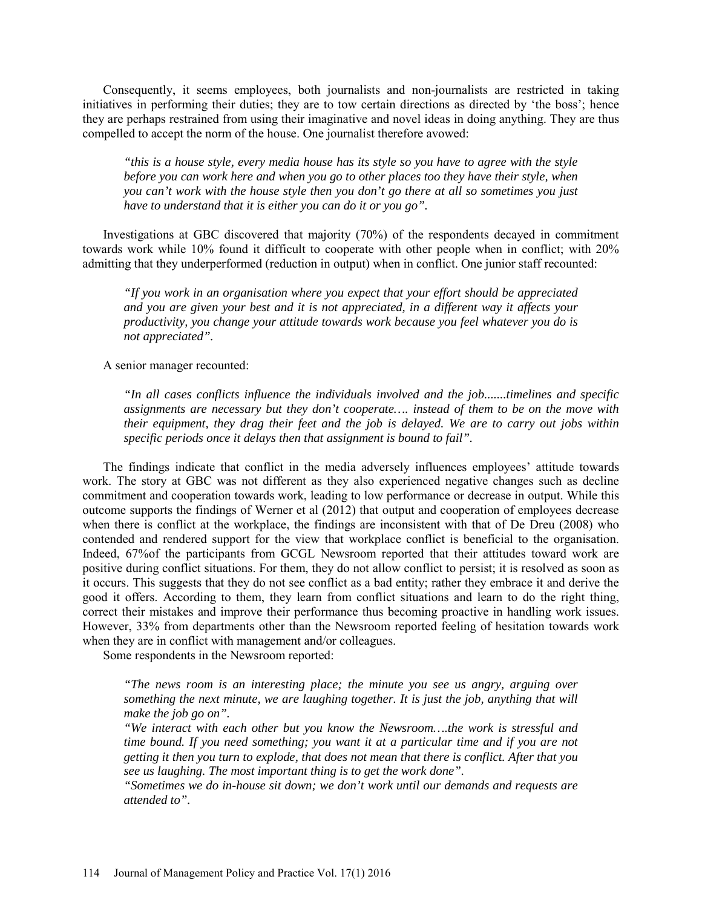Consequently, it seems employees, both journalists and non-journalists are restricted in taking initiatives in performing their duties; they are to tow certain directions as directed by 'the boss'; hence they are perhaps restrained from using their imaginative and novel ideas in doing anything. They are thus compelled to accept the norm of the house. One journalist therefore avowed:

*"this is a house style, every media house has its style so you have to agree with the style before you can work here and when you go to other places too they have their style, when you can't work with the house style then you don't go there at all so sometimes you just have to understand that it is either you can do it or you go".* 

Investigations at GBC discovered that majority (70%) of the respondents decayed in commitment towards work while 10% found it difficult to cooperate with other people when in conflict; with 20% admitting that they underperformed (reduction in output) when in conflict. One junior staff recounted:

*"If you work in an organisation where you expect that your effort should be appreciated and you are given your best and it is not appreciated, in a different way it affects your productivity, you change your attitude towards work because you feel whatever you do is not appreciated".* 

A senior manager recounted:

*"In all cases conflicts influence the individuals involved and the job.......timelines and specific assignments are necessary but they don't cooperate…. instead of them to be on the move with their equipment, they drag their feet and the job is delayed. We are to carry out jobs within specific periods once it delays then that assignment is bound to fail".* 

The findings indicate that conflict in the media adversely influences employees' attitude towards work. The story at GBC was not different as they also experienced negative changes such as decline commitment and cooperation towards work, leading to low performance or decrease in output. While this outcome supports the findings of Werner et al (2012) that output and cooperation of employees decrease when there is conflict at the workplace, the findings are inconsistent with that of De Dreu (2008) who contended and rendered support for the view that workplace conflict is beneficial to the organisation. Indeed, 67%of the participants from GCGL Newsroom reported that their attitudes toward work are positive during conflict situations. For them, they do not allow conflict to persist; it is resolved as soon as it occurs. This suggests that they do not see conflict as a bad entity; rather they embrace it and derive the good it offers. According to them, they learn from conflict situations and learn to do the right thing, correct their mistakes and improve their performance thus becoming proactive in handling work issues. However, 33% from departments other than the Newsroom reported feeling of hesitation towards work when they are in conflict with management and/or colleagues.

Some respondents in the Newsroom reported:

*"The news room is an interesting place; the minute you see us angry, arguing over something the next minute, we are laughing together. It is just the job, anything that will make the job go on".* 

*"We interact with each other but you know the Newsroom….the work is stressful and time bound. If you need something; you want it at a particular time and if you are not getting it then you turn to explode, that does not mean that there is conflict. After that you see us laughing. The most important thing is to get the work done".* 

*"Sometimes we do in-house sit down; we don't work until our demands and requests are attended to".*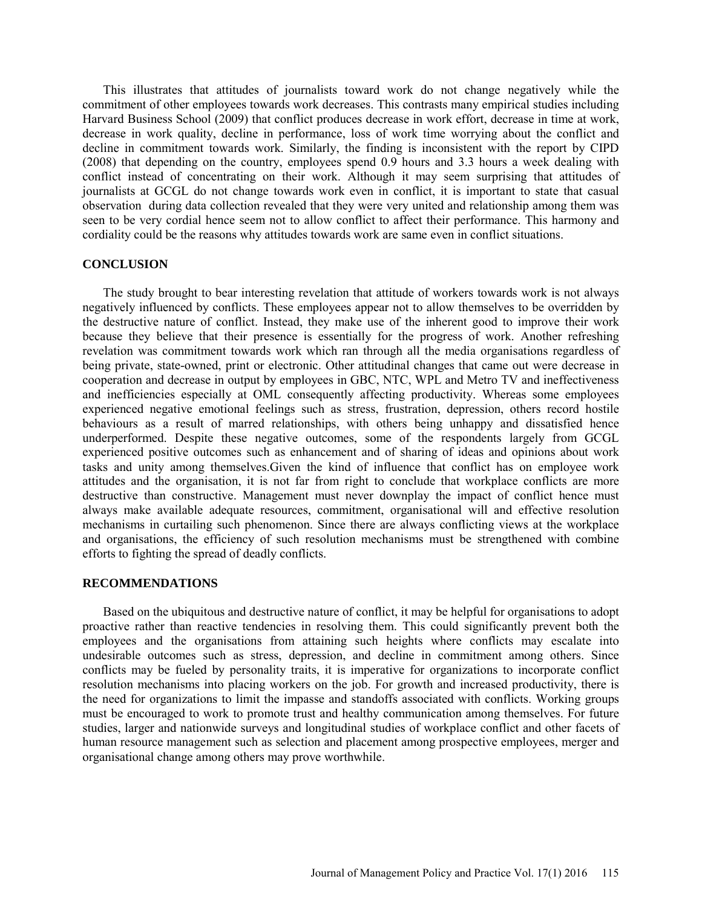This illustrates that attitudes of journalists toward work do not change negatively while the commitment of other employees towards work decreases. This contrasts many empirical studies including Harvard Business School (2009) that conflict produces decrease in work effort, decrease in time at work, decrease in work quality, decline in performance, loss of work time worrying about the conflict and decline in commitment towards work. Similarly, the finding is inconsistent with the report by CIPD (2008) that depending on the country, employees spend 0.9 hours and 3.3 hours a week dealing with conflict instead of concentrating on their work. Although it may seem surprising that attitudes of journalists at GCGL do not change towards work even in conflict, it is important to state that casual observation during data collection revealed that they were very united and relationship among them was seen to be very cordial hence seem not to allow conflict to affect their performance. This harmony and cordiality could be the reasons why attitudes towards work are same even in conflict situations.

# **CONCLUSION**

The study brought to bear interesting revelation that attitude of workers towards work is not always negatively influenced by conflicts. These employees appear not to allow themselves to be overridden by the destructive nature of conflict. Instead, they make use of the inherent good to improve their work because they believe that their presence is essentially for the progress of work. Another refreshing revelation was commitment towards work which ran through all the media organisations regardless of being private, state-owned, print or electronic. Other attitudinal changes that came out were decrease in cooperation and decrease in output by employees in GBC, NTC, WPL and Metro TV and ineffectiveness and inefficiencies especially at OML consequently affecting productivity. Whereas some employees experienced negative emotional feelings such as stress, frustration, depression, others record hostile behaviours as a result of marred relationships, with others being unhappy and dissatisfied hence underperformed. Despite these negative outcomes, some of the respondents largely from GCGL experienced positive outcomes such as enhancement and of sharing of ideas and opinions about work tasks and unity among themselves.Given the kind of influence that conflict has on employee work attitudes and the organisation, it is not far from right to conclude that workplace conflicts are more destructive than constructive. Management must never downplay the impact of conflict hence must always make available adequate resources, commitment, organisational will and effective resolution mechanisms in curtailing such phenomenon. Since there are always conflicting views at the workplace and organisations, the efficiency of such resolution mechanisms must be strengthened with combine efforts to fighting the spread of deadly conflicts.

#### **RECOMMENDATIONS**

Based on the ubiquitous and destructive nature of conflict, it may be helpful for organisations to adopt proactive rather than reactive tendencies in resolving them. This could significantly prevent both the employees and the organisations from attaining such heights where conflicts may escalate into undesirable outcomes such as stress, depression, and decline in commitment among others. Since conflicts may be fueled by personality traits, it is imperative for organizations to incorporate conflict resolution mechanisms into placing workers on the job. For growth and increased productivity, there is the need for organizations to limit the impasse and standoffs associated with conflicts. Working groups must be encouraged to work to promote trust and healthy communication among themselves. For future studies, larger and nationwide surveys and longitudinal studies of workplace conflict and other facets of human resource management such as selection and placement among prospective employees, merger and organisational change among others may prove worthwhile.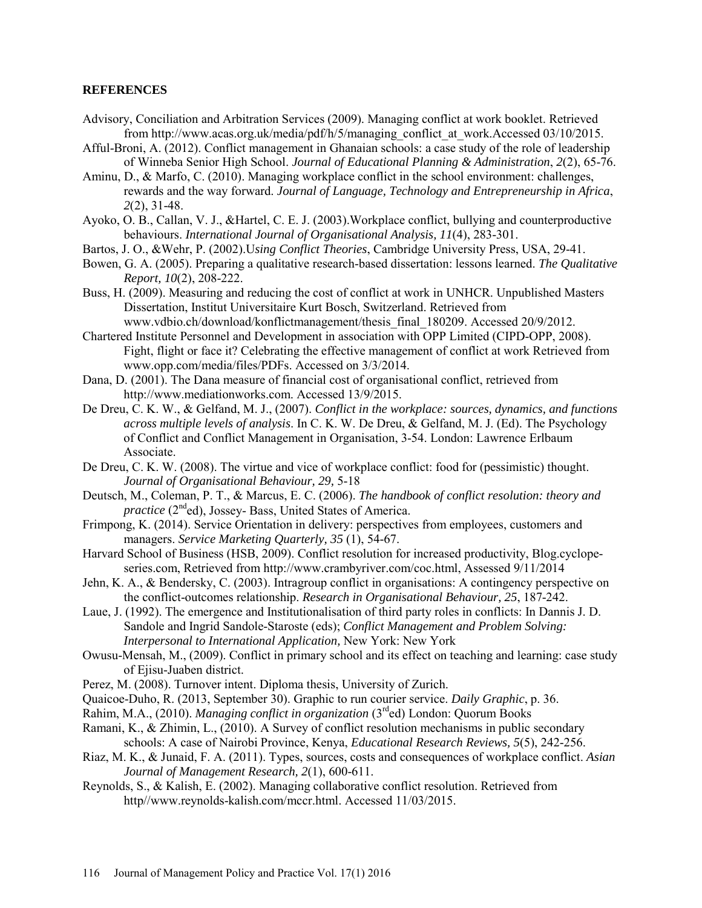# **REFERENCES**

- Advisory, Conciliation and Arbitration Services (2009). Managing conflict at work booklet. Retrieved from [http://www.acas.org.uk/media/pdf/h/5/managing\\_conflict\\_at\\_work.](http://www.acas.org.uk/media/pdf/h/5/managing_conflict_at_work)Accessed 03/10/2015.
- Afful-Broni, A. (2012). Conflict management in Ghanaian schools: a case study of the role of leadership of Winneba Senior High School. *Journal of Educational Planning & Administration*, *2*(2), 65-76.
- Aminu, D., & Marfo, C. (2010). Managing workplace conflict in the school environment: challenges, rewards and the way forward. *Journal of Language, Technology and Entrepreneurship in Africa*, *2*(2), 31-48.
- Ayoko, O. B., Callan, V. J., &Hartel, C. E. J. (2003).Workplace conflict, bullying and counterproductive behaviours. *International Journal of Organisational Analysis, 11*(4), 283-301.
- Bartos, J. O., &Wehr, P. (2002).U*sing Conflict Theories*, Cambridge University Press, USA, 29-41.
- Bowen, G. A. (2005). Preparing a qualitative research-based dissertation: lessons learned. *The Qualitative Report, 10*(2), 208-222.
- Buss, H. (2009). Measuring and reducing the cost of conflict at work in UNHCR. Unpublished Masters Dissertation, Institut Universitaire Kurt Bosch, Switzerland. Retrieved from [www.vdbio.ch/download/konflictmanagement/thesis\\_final\\_180209.](http://www.vdbio.ch/download/konflictmanagement/thesis_final_180209) Accessed 20/9/2012.
- Chartered Institute Personnel and Development in association with OPP Limited (CIPD-OPP, 2008). Fight, flight or face it? Celebrating the effective management of conflict at work Retrieved from [www.opp.com/media/files/PDFs. Accessed on 3/3/2014.](http://www.opp.com/media/files/PDFs.%20Accessed%20on%203/3/2014)
- Dana, D. (2001). The Dana measure of financial cost of organisational conflict, retrieved from [http://www.mediationworks.com.](http://www.mediationworks.com/) Accessed 13/9/2015.
- De Dreu, C. K. W., & Gelfand, M. J., (2007). *Conflict in the workplace: sources, dynamics, and functions across multiple levels of analysis*. In C. K. W. De Dreu, & Gelfand, M. J. (Ed). The Psychology of Conflict and Conflict Management in Organisation, 3-54. London: Lawrence Erlbaum Associate.
- De Dreu, C. K. W. (2008). The virtue and vice of workplace conflict: food for (pessimistic) thought. *Journal of Organisational Behaviour, 29,* 5-18
- Deutsch, M., Coleman, P. T., & Marcus, E. C. (2006). *The handbook of conflict resolution: theory and practice* (2<sup>nd</sup>ed), Jossey- Bass, United States of America.
- Frimpong, K. (2014). Service Orientation in delivery: perspectives from employees, customers and managers. *Service Marketing Quarterly, 35* (1), 54-67.
- Harvard School of Business (HSB, 2009). Conflict resolution for increased productivity, Blog.cyclopeseries.com, Retrieved from [http://www.crambyriver.com/coc.html,](http://www.crambyriver.com/coc.html) Assessed 9/11/2014
- Jehn, K. A., & Bendersky, C. (2003). Intragroup conflict in organisations: A contingency perspective on the conflict-outcomes relationship. *Research in Organisational Behaviour, 25*, 187-242.
- Laue, J. (1992). The emergence and Institutionalisation of third party roles in conflicts: In Dannis J. D. Sandole and Ingrid Sandole-Staroste (eds); *Conflict Management and Problem Solving: Interpersonal to International Application,* New York: New York
- Owusu-Mensah, M., (2009). Conflict in primary school and its effect on teaching and learning: case study of Ejisu-Juaben district.
- Perez, M. (2008). Turnover intent. Diploma thesis, University of Zurich.
- Quaicoe-Duho, R. (2013, September 30). Graphic to run courier service. *Daily Graphic*, p. 36.
- Rahim, M.A., (2010). *Managing conflict in organization* (3rded) London: Quorum Books
- Ramani, K., & Zhimin, L., (2010). A Survey of conflict resolution mechanisms in public secondary schools: A case of Nairobi Province, Kenya, *Educational Research Reviews, 5*(5), 242-256.
- Riaz, M. K., & Junaid, F. A. (2011). Types, sources, costs and consequences of workplace conflict. *Asian Journal of Management Research, 2*(1), 600-611.
- Reynolds, S., & Kalish, E. (2002). Managing collaborative conflict resolution. Retrieved from http//www.reynolds-kalish.com/mccr.html. Accessed 11/03/2015.